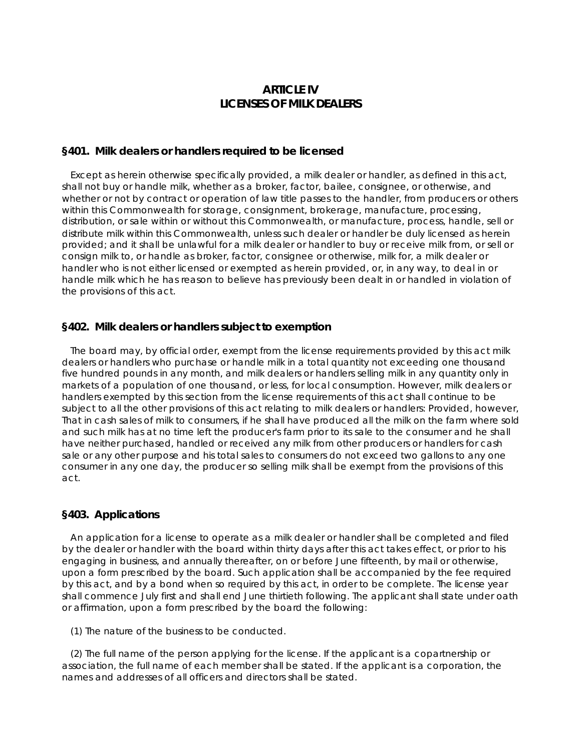# **ARTICLE IV LICENSES OF MILK DEALERS**

## **§401. Milk dealers or handlers required to be licensed**

 Except as herein otherwise specifically provided, a milk dealer or handler, as defined in this act, shall not buy or handle milk, whether as a broker, factor, bailee, consignee, or otherwise, and whether or not by contract or operation of law title passes to the handler, from producers or others within this Commonwealth for storage, consignment, brokerage, manufacture, processing, distribution, or sale within or without this Commonwealth, or manufacture, process, handle, sell or distribute milk within this Commonwealth, unless such dealer or handler be duly licensed as herein provided; and it shall be unlawful for a milk dealer or handler to buy or receive milk from, or sell or consign milk to, or handle as broker, factor, consignee or otherwise, milk for, a milk dealer or handler who is not either licensed or exempted as herein provided, or, in any way, to deal in or handle milk which he has reason to believe has previously been dealt in or handled in violation of the provisions of this act.

## **§402. Milk dealers or handlers subject to exemption**

 The board may, by official order, exempt from the license requirements provided by this act milk dealers or handlers who purchase or handle milk in a total quantity not exceeding one thousand five hundred pounds in any month, and milk dealers or handlers selling milk in any quantity only in markets of a population of one thousand, or less, for local consumption. However, milk dealers or handlers exempted by this section from the license requirements of this act shall continue to be subject to all the other provisions of this act relating to milk dealers or handlers: Provided, however, That in cash sales of milk to consumers, if he shall have produced all the milk on the farm where sold and such milk has at no time left the producer's farm prior to its sale to the consumer and he shall have neither purchased, handled or received any milk from other producers or handlers for cash sale or any other purpose and his total sales to consumers do not exceed two gallons to any one consumer in any one day, the producer so selling milk shall be exempt from the provisions of this act.

## **§403. Applications**

 An application for a license to operate as a milk dealer or handler shall be completed and filed by the dealer or handler with the board within thirty days after this act takes effect, or prior to his engaging in business, and annually thereafter, on or before June fifteenth, by mail or otherwise, upon a form prescribed by the board. Such application shall be accompanied by the fee required by this act, and by a bond when so required by this act, in order to be complete. The license year shall commence July first and shall end June thirtieth following. The applicant shall state under oath or affirmation, upon a form prescribed by the board the following:

(1) The nature of the business to be conducted.

 (2) The full name of the person applying for the license. If the applicant is a copartnership or association, the full name of each member shall be stated. If the applicant is a corporation, the names and addresses of all officers and directors shall be stated.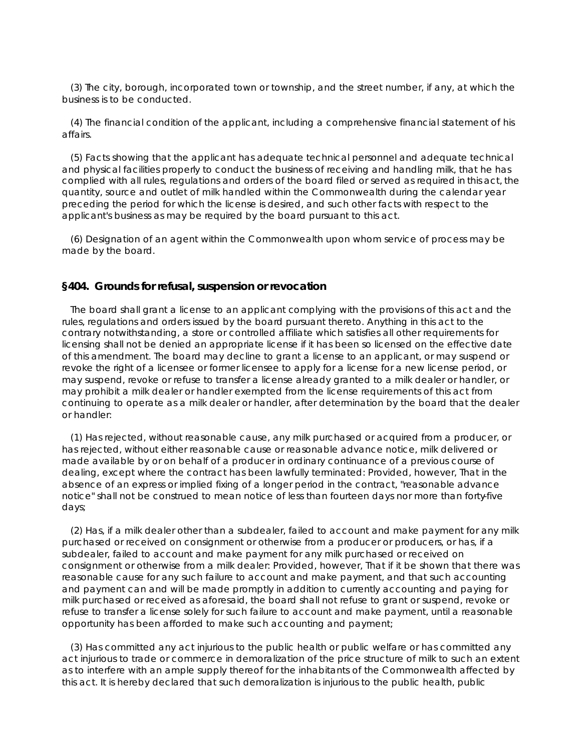(3) The city, borough, incorporated town or township, and the street number, if any, at which the business is to be conducted.

 (4) The financial condition of the applicant, including a comprehensive financial statement of his affairs.

 (5) Facts showing that the applicant has adequate technical personnel and adequate technical and physical facilities properly to conduct the business of receiving and handling milk, that he has complied with all rules, regulations and orders of the board filed or served as required in this act, the quantity, source and outlet of milk handled within the Commonwealth during the calendar year preceding the period for which the license is desired, and such other facts with respect to the applicant's business as may be required by the board pursuant to this act.

 (6) Designation of an agent within the Commonwealth upon whom service of process may be made by the board.

### **§404. Grounds for refusal, suspension or revocation**

 The board shall grant a license to an applicant complying with the provisions of this act and the rules, regulations and orders issued by the board pursuant thereto. Anything in this act to the contrary notwithstanding, a store or controlled affiliate which satisfies all other requirements for licensing shall not be denied an appropriate license if it has been so licensed on the effective date of this amendment. The board may decline to grant a license to an applicant, or may suspend or revoke the right of a licensee or former licensee to apply for a license for a new license period, or may suspend, revoke or refuse to transfer a license already granted to a milk dealer or handler, or may prohibit a milk dealer or handler exempted from the license requirements of this act from continuing to operate as a milk dealer or handler, after determination by the board that the dealer or handler:

 (1) Has rejected, without reasonable cause, any milk purchased or acquired from a producer, or has rejected, without either reasonable cause or reasonable advance notice, milk delivered or made available by or on behalf of a producer in ordinary continuance of a previous course of dealing, except where the contract has been lawfully terminated: Provided, however, That in the absence of an express or implied fixing of a longer period in the contract, "reasonable advance notice" shall not be construed to mean notice of less than fourteen days nor more than forty-five days;

 (2) Has, if a milk dealer other than a subdealer, failed to account and make payment for any milk purchased or received on consignment or otherwise from a producer or producers, or has, if a subdealer, failed to account and make payment for any milk purchased or received on consignment or otherwise from a milk dealer: Provided, however, That if it be shown that there was reasonable cause for any such failure to account and make payment, and that such accounting and payment can and will be made promptly in addition to currently accounting and paying for milk purchased or received as aforesaid, the board shall not refuse to grant or suspend, revoke or refuse to transfer a license solely for such failure to account and make payment, until a reasonable opportunity has been afforded to make such accounting and payment;

 (3) Has committed any act injurious to the public health or public welfare or has committed any act injurious to trade or commerce in demoralization of the price structure of milk to such an extent as to interfere with an ample supply thereof for the inhabitants of the Commonwealth affected by this act. It is hereby declared that such demoralization is injurious to the public health, public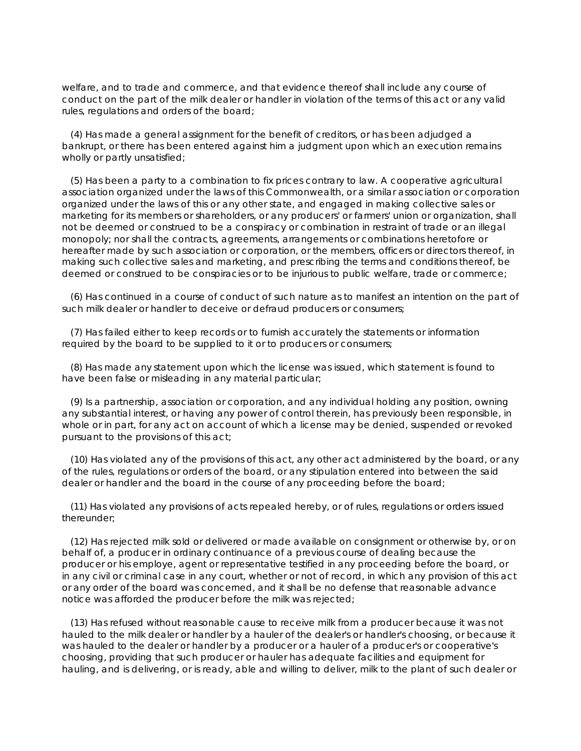welfare, and to trade and commerce, and that evidence thereof shall include any course of conduct on the part of the milk dealer or handler in violation of the terms of this act or any valid rules, regulations and orders of the board;

 (4) Has made a general assignment for the benefit of creditors, or has been adjudged a bankrupt, or there has been entered against him a judgment upon which an execution remains wholly or partly unsatisfied;

 (5) Has been a party to a combination to fix prices contrary to law. A cooperative agricultural association organized under the laws of this Commonwealth, or a similar association or corporation organized under the laws of this or any other state, and engaged in making collective sales or marketing for its members or shareholders, or any producers' or farmers' union or organization, shall not be deemed or construed to be a conspiracy or combination in restraint of trade or an illegal monopoly; nor shall the contracts, agreements, arrangements or combinations heretofore or hereafter made by such association or corporation, or the members, officers or directors thereof, in making such collective sales and marketing, and prescribing the terms and conditions thereof, be deemed or construed to be conspiracies or to be injurious to public welfare, trade or commerce;

 (6) Has continued in a course of conduct of such nature as to manifest an intention on the part of such milk dealer or handler to deceive or defraud producers or consumers;

 (7) Has failed either to keep records or to furnish accurately the statements or information required by the board to be supplied to it or to producers or consumers;

 (8) Has made any statement upon which the license was issued, which statement is found to have been false or misleading in any material particular;

 (9) Is a partnership, association or corporation, and any individual holding any position, owning any substantial interest, or having any power of control therein, has previously been responsible, in whole or in part, for any act on account of which a license may be denied, suspended or revoked pursuant to the provisions of this act;

 (10) Has violated any of the provisions of this act, any other act administered by the board, or any of the rules, regulations or orders of the board, or any stipulation entered into between the said dealer or handler and the board in the course of any proceeding before the board;

 (11) Has violated any provisions of acts repealed hereby, or of rules, regulations or orders issued thereunder;

 (12) Has rejected milk sold or delivered or made available on consignment or otherwise by, or on behalf of, a producer in ordinary continuance of a previous course of dealing because the producer or his employe, agent or representative testified in any proceeding before the board, or in any civil or criminal case in any court, whether or not of record, in which any provision of this act or any order of the board was concerned, and it shall be no defense that reasonable advance notice was afforded the producer before the milk was rejected;

 (13) Has refused without reasonable cause to receive milk from a producer because it was not hauled to the milk dealer or handler by a hauler of the dealer's or handler's choosing, or because it was hauled to the dealer or handler by a producer or a hauler of a producer's or cooperative's choosing, providing that such producer or hauler has adequate facilities and equipment for hauling, and is delivering, or is ready, able and willing to deliver, milk to the plant of such dealer or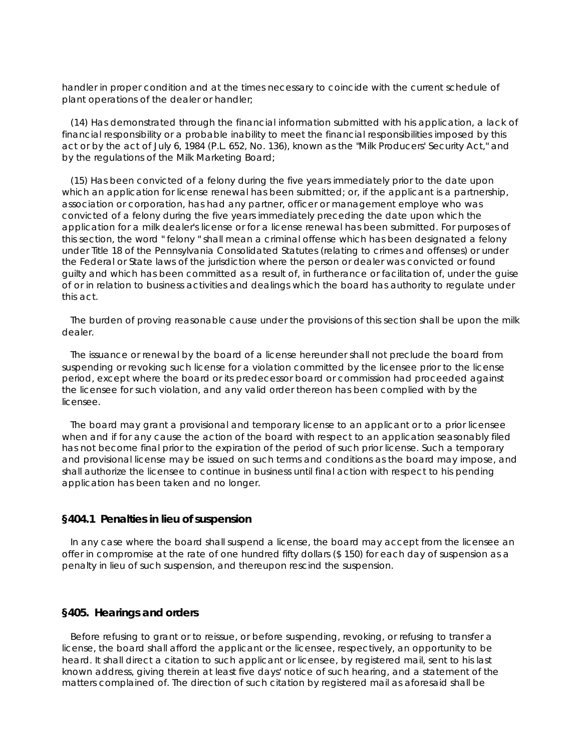handler in proper condition and at the times necessary to coincide with the current schedule of plant operations of the dealer or handler;

 (14) Has demonstrated through the financial information submitted with his application, a lack of financial responsibility or a probable inability to meet the financial responsibilities imposed by this act or by the act of July 6, 1984 (P.L. 652, No. 136), known as the "Milk Producers' Security Act," and by the regulations of the Milk Marketing Board;

 (15) Has been convicted of a felony during the five years immediately prior to the date upon which an application for license renewal has been submitted; or, if the applicant is a partnership, association or corporation, has had any partner, officer or management employe who was convicted of a felony during the five years immediately preceding the date upon which the application for a milk dealer's license or for a license renewal has been submitted. For purposes of this section, the word " felony " shall mean a criminal offense which has been designated a felony under Title 18 of the Pennsylvania Consolidated Statutes (relating to crimes and offenses) or under the Federal or State laws of the jurisdiction where the person or dealer was convicted or found guilty and which has been committed as a result of, in furtherance or facilitation of, under the guise of or in relation to business activities and dealings which the board has authority to regulate under this act.

 The burden of proving reasonable cause under the provisions of this section shall be upon the milk dealer.

 The issuance or renewal by the board of a license hereunder shall not preclude the board from suspending or revoking such license for a violation committed by the licensee prior to the license period, except where the board or its predecessor board or commission had proceeded against the licensee for such violation, and any valid order thereon has been complied with by the licensee.

 The board may grant a provisional and temporary license to an applicant or to a prior licensee when and if for any cause the action of the board with respect to an application seasonably filed has not become final prior to the expiration of the period of such prior license. Such a temporary and provisional license may be issued on such terms and conditions as the board may impose, and shall authorize the licensee to continue in business until final action with respect to his pending application has been taken and no longer.

#### **§404.1 Penalties in lieu of suspension**

 In any case where the board shall suspend a license, the board may accept from the licensee an offer in compromise at the rate of one hundred fifty dollars (\$ 150) for each day of suspension as a penalty in lieu of such suspension, and thereupon rescind the suspension.

#### **§405. Hearings and orders**

 Before refusing to grant or to reissue, or before suspending, revoking, or refusing to transfer a license, the board shall afford the applicant or the licensee, respectively, an opportunity to be heard. It shall direct a citation to such applicant or licensee, by registered mail, sent to his last known address, giving therein at least five days' notice of such hearing, and a statement of the matters complained of. The direction of such citation by registered mail as aforesaid shall be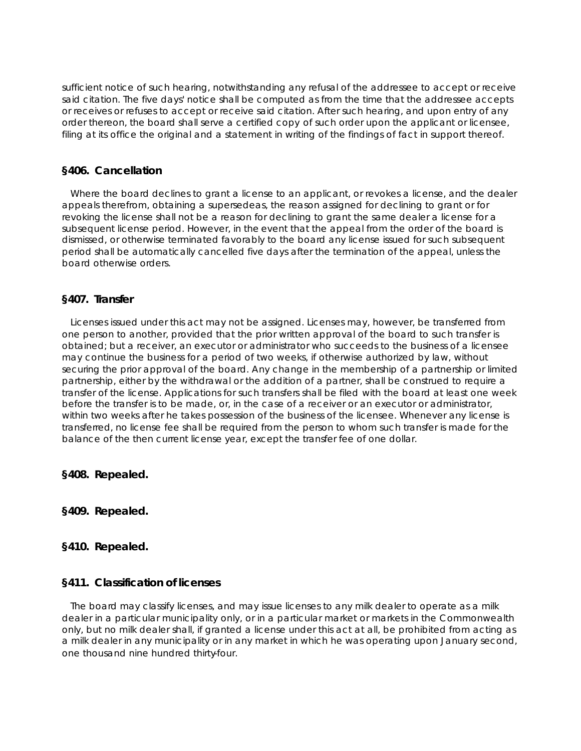sufficient notice of such hearing, notwithstanding any refusal of the addressee to accept or receive said citation. The five days' notice shall be computed as from the time that the addressee accepts or receives or refuses to accept or receive said citation. After such hearing, and upon entry of any order thereon, the board shall serve a certified copy of such order upon the applicant or licensee, filing at its office the original and a statement in writing of the findings of fact in support thereof.

## **§406. Cancellation**

 Where the board declines to grant a license to an applicant, or revokes a license, and the dealer appeals therefrom, obtaining a supersedeas, the reason assigned for declining to grant or for revoking the license shall not be a reason for declining to grant the same dealer a license for a subsequent license period. However, in the event that the appeal from the order of the board is dismissed, or otherwise terminated favorably to the board any license issued for such subsequent period shall be automatically cancelled five days after the termination of the appeal, unless the board otherwise orders.

## **§407. Transfer**

 Licenses issued under this act may not be assigned. Licenses may, however, be transferred from one person to another, provided that the prior written approval of the board to such transfer is obtained; but a receiver, an executor or administrator who succeeds to the business of a licensee may continue the business for a period of two weeks, if otherwise authorized by law, without securing the prior approval of the board. Any change in the membership of a partnership or limited partnership, either by the withdrawal or the addition of a partner, shall be construed to require a transfer of the license. Applications for such transfers shall be filed with the board at least one week before the transfer is to be made, or, in the case of a receiver or an executor or administrator, within two weeks after he takes possession of the business of the licensee. Whenever any license is transferred, no license fee shall be required from the person to whom such transfer is made for the balance of the then current license year, except the transfer fee of one dollar.

**§408. Repealed.**

**§409. Repealed.**

## **§410. Repealed.**

## **§411. Classification of licenses**

 The board may classify licenses, and may issue licenses to any milk dealer to operate as a milk dealer in a particular municipality only, or in a particular market or markets in the Commonwealth only, but no milk dealer shall, if granted a license under this act at all, be prohibited from acting as a milk dealer in any municipality or in any market in which he was operating upon January second, one thousand nine hundred thirty-four.